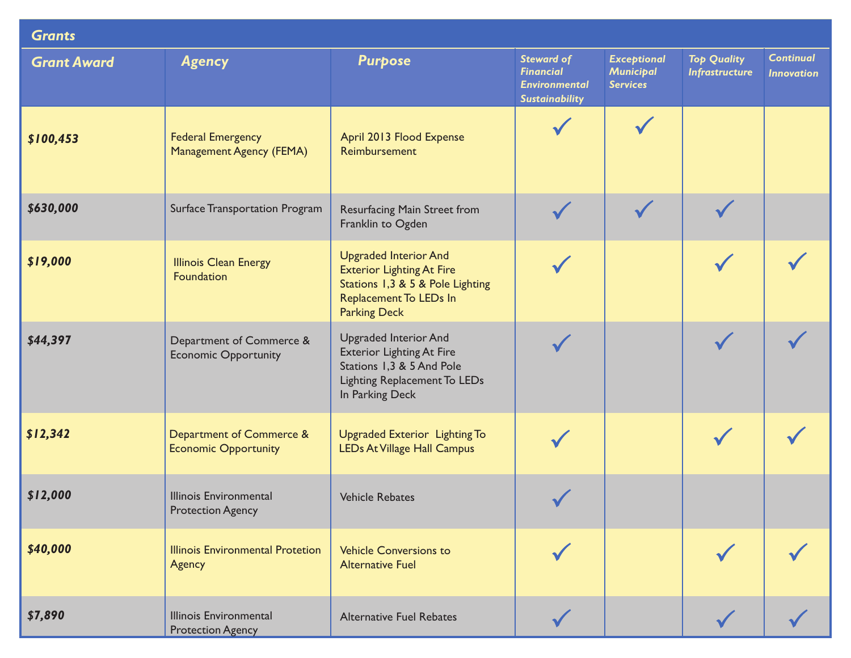| <b>Grants</b>      |                                                           |                                                                                                                                                         |                                                                                        |                                                    |                                             |                                       |  |  |  |  |
|--------------------|-----------------------------------------------------------|---------------------------------------------------------------------------------------------------------------------------------------------------------|----------------------------------------------------------------------------------------|----------------------------------------------------|---------------------------------------------|---------------------------------------|--|--|--|--|
| <b>Grant Award</b> | <b>Agency</b>                                             | <b>Purpose</b>                                                                                                                                          | <b>Steward of</b><br><b>Financial</b><br><b>Environmental</b><br><b>Sustainability</b> | <b>Exceptional</b><br>Municipal<br><b>Services</b> | <b>Top Quality</b><br><b>Infrastructure</b> | <b>Continual</b><br><b>Innovation</b> |  |  |  |  |
| \$100,453          | <b>Federal Emergency</b><br>Management Agency (FEMA)      | April 2013 Flood Expense<br>Reimbursement                                                                                                               |                                                                                        |                                                    |                                             |                                       |  |  |  |  |
| \$630,000          | Surface Transportation Program                            | Resurfacing Main Street from<br>Franklin to Ogden                                                                                                       |                                                                                        |                                                    |                                             |                                       |  |  |  |  |
| \$19,000           | <b>Illinois Clean Energy</b><br>Foundation                | <b>Upgraded Interior And</b><br><b>Exterior Lighting At Fire</b><br>Stations 1,3 & 5 & Pole Lighting<br>Replacement To LEDs In<br><b>Parking Deck</b>   |                                                                                        |                                                    |                                             |                                       |  |  |  |  |
| \$44,397           | Department of Commerce &<br><b>Economic Opportunity</b>   | <b>Upgraded Interior And</b><br><b>Exterior Lighting At Fire</b><br>Stations 1,3 & 5 And Pole<br><b>Lighting Replacement To LEDs</b><br>In Parking Deck |                                                                                        |                                                    |                                             |                                       |  |  |  |  |
| \$12,342           | Department of Commerce &<br><b>Economic Opportunity</b>   | Upgraded Exterior Lighting To<br><b>LEDs At Village Hall Campus</b>                                                                                     |                                                                                        |                                                    |                                             |                                       |  |  |  |  |
| \$12,000           | <b>Illinois Environmental</b><br><b>Protection Agency</b> | <b>Vehicle Rebates</b>                                                                                                                                  |                                                                                        |                                                    |                                             |                                       |  |  |  |  |
| \$40,000           | <b>Illinois Environmental Protetion</b><br>Agency         | <b>Vehicle Conversions to</b><br><b>Alternative Fuel</b>                                                                                                |                                                                                        |                                                    |                                             |                                       |  |  |  |  |
| \$7,890            | <b>Illinois Environmental</b><br><b>Protection Agency</b> | <b>Alternative Fuel Rebates</b>                                                                                                                         |                                                                                        |                                                    |                                             |                                       |  |  |  |  |